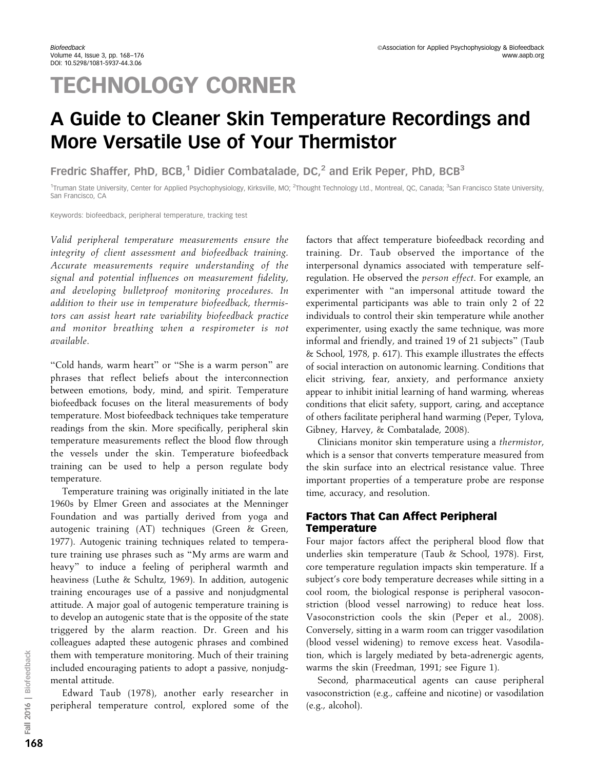# **TECHNOLOGY CORNER**

# A Guide to Cleaner Skin Temperature Recordings and More Versatile Use of Your Thermistor

Fredric Shaffer, PhD, BCB,<sup>1</sup> Didier Combatalade, DC,<sup>2</sup> and Erik Peper, PhD, BCB<sup>3</sup>

<sup>1</sup>Truman State University, Center for Applied Psychophysiology, Kirksville, MO; <sup>2</sup>Thought Technology Ltd., Montreal, QC, Canada; <sup>3</sup>San Francisco State University, San Francisco, CA

Keywords: biofeedback, peripheral temperature, tracking test

Valid peripheral temperature measurements ensure the integrity of client assessment and biofeedback training. Accurate measurements require understanding of the signal and potential influences on measurement fidelity, and developing bulletproof monitoring procedures. In addition to their use in temperature biofeedback, thermistors can assist heart rate variability biofeedback practice and monitor breathing when a respirometer is not available.

''Cold hands, warm heart'' or ''She is a warm person'' are phrases that reflect beliefs about the interconnection between emotions, body, mind, and spirit. Temperature biofeedback focuses on the literal measurements of body temperature. Most biofeedback techniques take temperature readings from the skin. More specifically, peripheral skin temperature measurements reflect the blood flow through the vessels under the skin. Temperature biofeedback training can be used to help a person regulate body temperature.

Temperature training was originally initiated in the late 1960s by Elmer Green and associates at the Menninger Foundation and was partially derived from yoga and autogenic training (AT) techniques (Green & Green, 1977). Autogenic training techniques related to temperature training use phrases such as ''My arms are warm and heavy'' to induce a feeling of peripheral warmth and heaviness (Luthe & Schultz, 1969). In addition, autogenic training encourages use of a passive and nonjudgmental attitude. A major goal of autogenic temperature training is to develop an autogenic state that is the opposite of the state triggered by the alarm reaction. Dr. Green and his colleagues adapted these autogenic phrases and combined them with temperature monitoring. Much of their training included encouraging patients to adopt a passive, nonjudgmental attitude.

Edward Taub (1978), another early researcher in peripheral temperature control, explored some of the

factors that affect temperature biofeedback recording and training. Dr. Taub observed the importance of the interpersonal dynamics associated with temperature selfregulation. He observed the person effect. For example, an experimenter with ''an impersonal attitude toward the experimental participants was able to train only 2 of 22 individuals to control their skin temperature while another experimenter, using exactly the same technique, was more informal and friendly, and trained 19 of 21 subjects'' (Taub & School, 1978, p. 617). This example illustrates the effects of social interaction on autonomic learning. Conditions that elicit striving, fear, anxiety, and performance anxiety appear to inhibit initial learning of hand warming, whereas conditions that elicit safety, support, caring, and acceptance of others facilitate peripheral hand warming (Peper, Tylova, Gibney, Harvey, & Combatalade, 2008).

Clinicians monitor skin temperature using a thermistor, which is a sensor that converts temperature measured from the skin surface into an electrical resistance value. Three important properties of a temperature probe are response time, accuracy, and resolution.

# Factors That Can Affect Peripheral **Temperature**

Four major factors affect the peripheral blood flow that underlies skin temperature (Taub & School, 1978). First, core temperature regulation impacts skin temperature. If a subject's core body temperature decreases while sitting in a cool room, the biological response is peripheral vasoconstriction (blood vessel narrowing) to reduce heat loss. Vasoconstriction cools the skin (Peper et al., 2008). Conversely, sitting in a warm room can trigger vasodilation (blood vessel widening) to remove excess heat. Vasodilation, which is largely mediated by beta-adrenergic agents, warms the skin (Freedman, 1991; see Figure 1).

Second, pharmaceutical agents can cause peripheral vasoconstriction (e.g., caffeine and nicotine) or vasodilation (e.g., alcohol).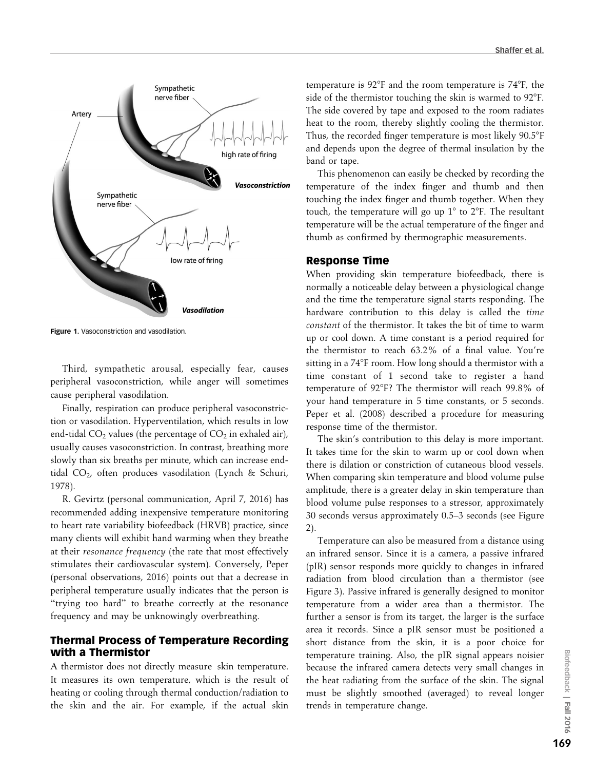

Figure 1. Vasoconstriction and vasodilation.

Third, sympathetic arousal, especially fear, causes peripheral vasoconstriction, while anger will sometimes cause peripheral vasodilation.

Finally, respiration can produce peripheral vasoconstriction or vasodilation. Hyperventilation, which results in low end-tidal  $CO<sub>2</sub>$  values (the percentage of  $CO<sub>2</sub>$  in exhaled air), usually causes vasoconstriction. In contrast, breathing more slowly than six breaths per minute, which can increase endtidal CO<sub>2</sub>, often produces vasodilation (Lynch & Schuri, 1978).

R. Gevirtz (personal communication, April 7, 2016) has recommended adding inexpensive temperature monitoring to heart rate variability biofeedback (HRVB) practice, since many clients will exhibit hand warming when they breathe at their resonance frequency (the rate that most effectively stimulates their cardiovascular system). Conversely, Peper (personal observations, 2016) points out that a decrease in peripheral temperature usually indicates that the person is "trying too hard" to breathe correctly at the resonance frequency and may be unknowingly overbreathing.

# Thermal Process of Temperature Recording with a Thermistor

A thermistor does not directly measure skin temperature. It measures its own temperature, which is the result of heating or cooling through thermal conduction/radiation to the skin and the air. For example, if the actual skin

temperature is  $92^{\circ}F$  and the room temperature is  $74^{\circ}F$ , the side of the thermistor touching the skin is warmed to  $92^{\circ}$ F. The side covered by tape and exposed to the room radiates heat to the room, thereby slightly cooling the thermistor. Thus, the recorded finger temperature is most likely  $90.5^{\circ}F$ and depends upon the degree of thermal insulation by the band or tape.

This phenomenon can easily be checked by recording the temperature of the index finger and thumb and then touching the index finger and thumb together. When they touch, the temperature will go up  $1^{\circ}$  to  $2^{\circ}$ F. The resultant temperature will be the actual temperature of the finger and thumb as confirmed by thermographic measurements.

#### Response Time

When providing skin temperature biofeedback, there is normally a noticeable delay between a physiological change and the time the temperature signal starts responding. The hardware contribution to this delay is called the time constant of the thermistor. It takes the bit of time to warm up or cool down. A time constant is a period required for the thermistor to reach 63.2% of a final value. You're sitting in a 74°F room. How long should a thermistor with a time constant of 1 second take to register a hand temperature of 92°F? The thermistor will reach 99.8% of your hand temperature in 5 time constants, or 5 seconds. Peper et al. (2008) described a procedure for measuring response time of the thermistor.

The skin's contribution to this delay is more important. It takes time for the skin to warm up or cool down when there is dilation or constriction of cutaneous blood vessels. When comparing skin temperature and blood volume pulse amplitude, there is a greater delay in skin temperature than blood volume pulse responses to a stressor, approximately 30 seconds versus approximately 0.5–3 seconds (see Figure 2).

Temperature can also be measured from a distance using an infrared sensor. Since it is a camera, a passive infrared (pIR) sensor responds more quickly to changes in infrared radiation from blood circulation than a thermistor (see Figure 3). Passive infrared is generally designed to monitor temperature from a wider area than a thermistor. The further a sensor is from its target, the larger is the surface area it records. Since a pIR sensor must be positioned a short distance from the skin, it is a poor choice for temperature training. Also, the pIR signal appears noisier because the infrared camera detects very small changes in the heat radiating from the surface of the skin. The signal must be slightly smoothed (averaged) to reveal longer trends in temperature change.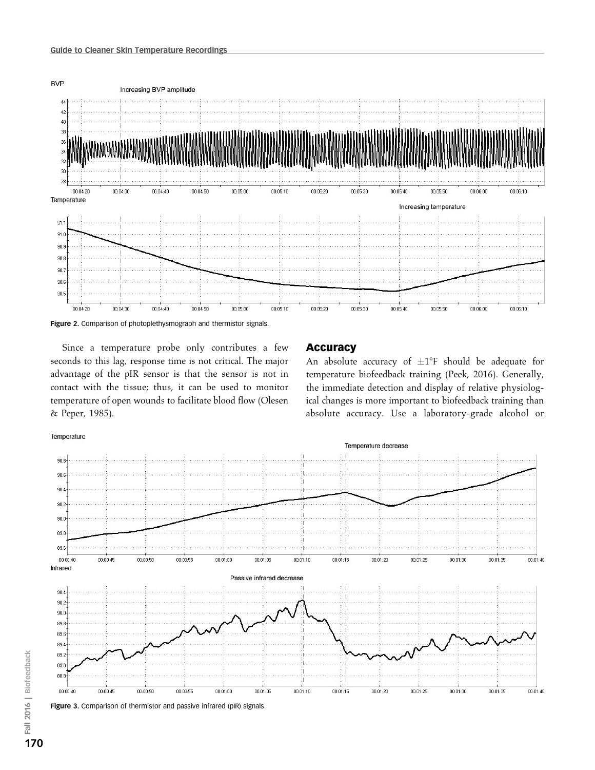



Since a temperature probe only contributes a few seconds to this lag, response time is not critical. The major advantage of the pIR sensor is that the sensor is not in contact with the tissue; thus, it can be used to monitor temperature of open wounds to facilitate blood flow (Olesen & Peper, 1985).

#### Accuracy

An absolute accuracy of  $\pm 1^{\circ}F$  should be adequate for temperature biofeedback training (Peek, 2016). Generally, the immediate detection and display of relative physiological changes is more important to biofeedback training than absolute accuracy. Use a laboratory-grade alcohol or

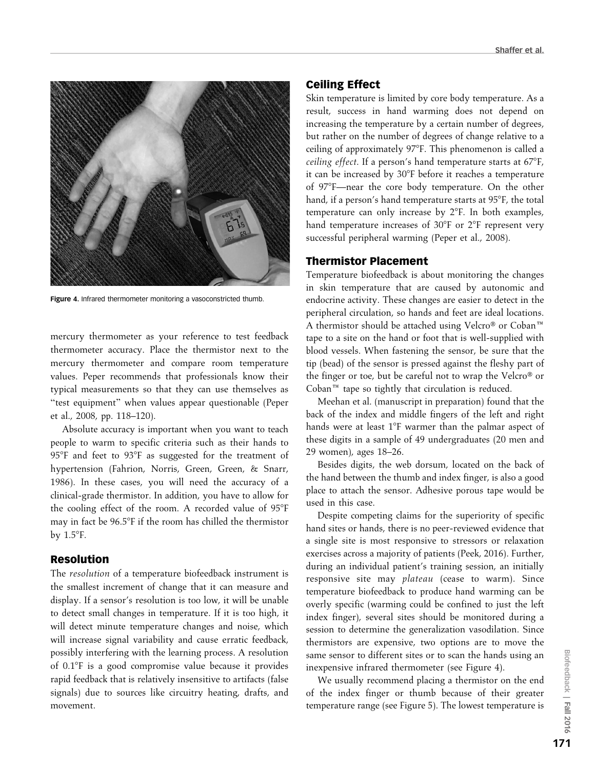

Figure 4. Infrared thermometer monitoring a vasoconstricted thumb.

mercury thermometer as your reference to test feedback thermometer accuracy. Place the thermistor next to the mercury thermometer and compare room temperature values. Peper recommends that professionals know their typical measurements so that they can use themselves as ''test equipment'' when values appear questionable (Peper et al., 2008, pp. 118–120).

Absolute accuracy is important when you want to teach people to warm to specific criteria such as their hands to 95°F and feet to 93°F as suggested for the treatment of hypertension (Fahrion, Norris, Green, Green, & Snarr, 1986). In these cases, you will need the accuracy of a clinical-grade thermistor. In addition, you have to allow for the cooling effect of the room. A recorded value of 95°F may in fact be 96.5°F if the room has chilled the thermistor by  $1.5^{\circ}$ F.

#### Resolution

The resolution of a temperature biofeedback instrument is the smallest increment of change that it can measure and display. If a sensor's resolution is too low, it will be unable to detect small changes in temperature. If it is too high, it will detect minute temperature changes and noise, which will increase signal variability and cause erratic feedback, possibly interfering with the learning process. A resolution of 0.1°F is a good compromise value because it provides rapid feedback that is relatively insensitive to artifacts (false signals) due to sources like circuitry heating, drafts, and movement.

#### Ceiling Effect

Skin temperature is limited by core body temperature. As a result, success in hand warming does not depend on increasing the temperature by a certain number of degrees, but rather on the number of degrees of change relative to a ceiling of approximately 97°F. This phenomenon is called a ceiling effect. If a person's hand temperature starts at  $67^{\circ}$ F, it can be increased by 30°F before it reaches a temperature of 97°F—near the core body temperature. On the other hand, if a person's hand temperature starts at 95°F, the total temperature can only increase by  $2^{\circ}F$ . In both examples, hand temperature increases of 30°F or 2°F represent very successful peripheral warming (Peper et al., 2008).

#### Thermistor Placement

Temperature biofeedback is about monitoring the changes in skin temperature that are caused by autonomic and endocrine activity. These changes are easier to detect in the peripheral circulation, so hands and feet are ideal locations. A thermistor should be attached using Velcro® or Coban<sup>™</sup> tape to a site on the hand or foot that is well-supplied with blood vessels. When fastening the sensor, be sure that the tip (bead) of the sensor is pressed against the fleshy part of the finger or toe, but be careful not to wrap the Velcro® or Coban<sup> $m$ </sup> tape so tightly that circulation is reduced.

Meehan et al. (manuscript in preparation) found that the back of the index and middle fingers of the left and right hands were at least 1°F warmer than the palmar aspect of these digits in a sample of 49 undergraduates (20 men and 29 women), ages 18–26.

Besides digits, the web dorsum, located on the back of the hand between the thumb and index finger, is also a good place to attach the sensor. Adhesive porous tape would be used in this case.

Despite competing claims for the superiority of specific hand sites or hands, there is no peer-reviewed evidence that a single site is most responsive to stressors or relaxation exercises across a majority of patients (Peek, 2016). Further, during an individual patient's training session, an initially responsive site may plateau (cease to warm). Since temperature biofeedback to produce hand warming can be overly specific (warming could be confined to just the left index finger), several sites should be monitored during a session to determine the generalization vasodilation. Since thermistors are expensive, two options are to move the same sensor to different sites or to scan the hands using an inexpensive infrared thermometer (see Figure 4).

We usually recommend placing a thermistor on the end of the index finger or thumb because of their greater temperature range (see Figure 5). The lowest temperature is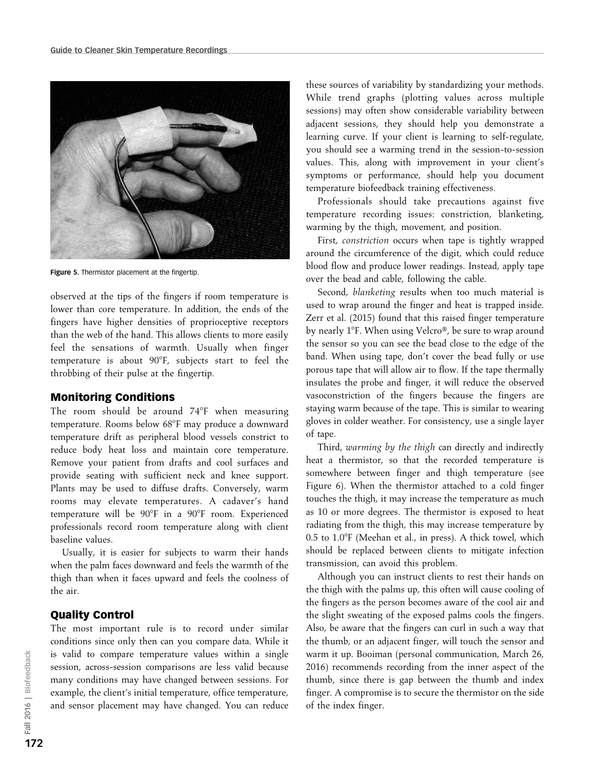

Figure 5. Thermistor placement at the fingertip.

observed at the tips of the fingers if room temperature is lower than core temperature. In addition, the ends of the fingers have higher densities of proprioceptive receptors than the web of the hand. This allows clients to more easily feel the sensations of warmth. Usually when finger temperature is about 90°F, subjects start to feel the throbbing of their pulse at the fingertip.

#### Monitoring Conditions

The room should be around  $74^{\circ}F$  when measuring temperature. Rooms below 68°F may produce a downward temperature drift as peripheral blood vessels constrict to reduce body heat loss and maintain core temperature. Remove your patient from drafts and cool surfaces and provide seating with sufficient neck and knee support. Plants may be used to diffuse drafts. Conversely, warm rooms may elevate temperatures. A cadaver's hand temperature will be 90°F in a 90°F room. Experienced professionals record room temperature along with client baseline values.

Usually, it is easier for subjects to warm their hands when the palm faces downward and feels the warmth of the thigh than when it faces upward and feels the coolness of the air.

#### Quality Control

The most important rule is to record under similar conditions since only then can you compare data. While it is valid to compare temperature values within a single session, across-session comparisons are less valid because many conditions may have changed between sessions. For example, the client's initial temperature, office temperature, and sensor placement may have changed. You can reduce

these sources of variability by standardizing your methods. While trend graphs (plotting values across multiple sessions) may often show considerable variability between adjacent sessions, they should help you demonstrate a learning curve. If your client is learning to self-regulate, you should see a warming trend in the session-to-session values. This, along with improvement in your client's symptoms or performance, should help you document temperature biofeedback training effectiveness.

Professionals should take precautions against five temperature recording issues: constriction, blanketing, warming by the thigh, movement, and position.

First, constriction occurs when tape is tightly wrapped around the circumference of the digit, which could reduce blood flow and produce lower readings. Instead, apply tape over the bead and cable, following the cable.

Second, blanketing results when too much material is used to wrap around the finger and heat is trapped inside. Zerr et al. (2015) found that this raised finger temperature by nearly 1°F. When using Velcro®, be sure to wrap around the sensor so you can see the bead close to the edge of the band. When using tape, don't cover the bead fully or use porous tape that will allow air to flow. If the tape thermally insulates the probe and finger, it will reduce the observed vasoconstriction of the fingers because the fingers are staying warm because of the tape. This is similar to wearing gloves in colder weather. For consistency, use a single layer of tape.

Third, warming by the thigh can directly and indirectly heat a thermistor, so that the recorded temperature is somewhere between finger and thigh temperature (see Figure 6). When the thermistor attached to a cold finger touches the thigh, it may increase the temperature as much as 10 or more degrees. The thermistor is exposed to heat radiating from the thigh, this may increase temperature by 0.5 to 1.0°F (Meehan et al., in press). A thick towel, which should be replaced between clients to mitigate infection transmission, can avoid this problem.

Although you can instruct clients to rest their hands on the thigh with the palms up, this often will cause cooling of the fingers as the person becomes aware of the cool air and the slight sweating of the exposed palms cools the fingers. Also, be aware that the fingers can curl in such a way that the thumb, or an adjacent finger, will touch the sensor and warm it up. Booiman (personal communication, March 26, 2016) recommends recording from the inner aspect of the thumb, since there is gap between the thumb and index finger. A compromise is to secure the thermistor on the side of the index finger.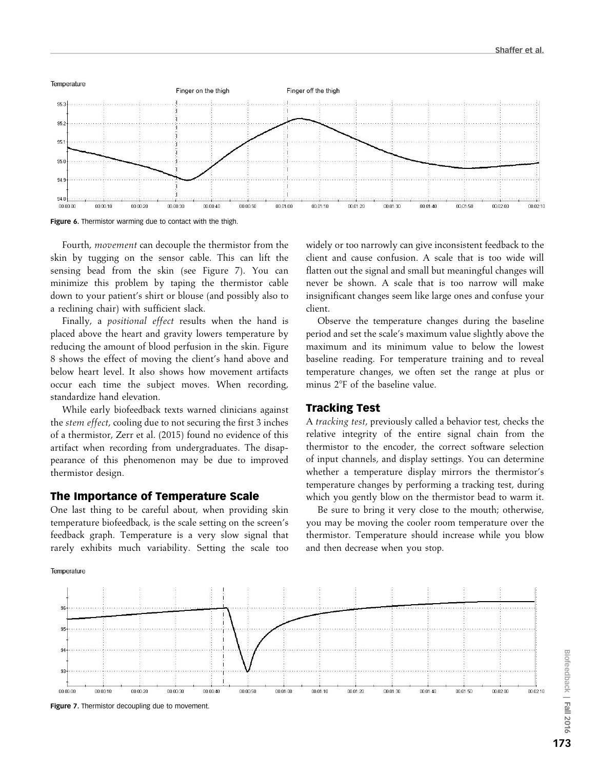

Figure 6. Thermistor warming due to contact with the thigh.

Fourth, movement can decouple the thermistor from the skin by tugging on the sensor cable. This can lift the sensing bead from the skin (see Figure 7). You can minimize this problem by taping the thermistor cable down to your patient's shirt or blouse (and possibly also to a reclining chair) with sufficient slack.

Finally, a positional effect results when the hand is placed above the heart and gravity lowers temperature by reducing the amount of blood perfusion in the skin. Figure 8 shows the effect of moving the client's hand above and below heart level. It also shows how movement artifacts occur each time the subject moves. When recording, standardize hand elevation.

While early biofeedback texts warned clinicians against the stem effect, cooling due to not securing the first 3 inches of a thermistor, Zerr et al. (2015) found no evidence of this artifact when recording from undergraduates. The disappearance of this phenomenon may be due to improved thermistor design.

#### The Importance of Temperature Scale

One last thing to be careful about, when providing skin temperature biofeedback, is the scale setting on the screen's feedback graph. Temperature is a very slow signal that rarely exhibits much variability. Setting the scale too

Temperature

widely or too narrowly can give inconsistent feedback to the client and cause confusion. A scale that is too wide will flatten out the signal and small but meaningful changes will never be shown. A scale that is too narrow will make insignificant changes seem like large ones and confuse your client.

Observe the temperature changes during the baseline period and set the scale's maximum value slightly above the maximum and its minimum value to below the lowest baseline reading. For temperature training and to reveal temperature changes, we often set the range at plus or minus 2°F of the baseline value.

## Tracking Test

A tracking test, previously called a behavior test, checks the relative integrity of the entire signal chain from the thermistor to the encoder, the correct software selection of input channels, and display settings. You can determine whether a temperature display mirrors the thermistor's temperature changes by performing a tracking test, during which you gently blow on the thermistor bead to warm it.

Be sure to bring it very close to the mouth; otherwise, you may be moving the cooler room temperature over the thermistor. Temperature should increase while you blow and then decrease when you stop.



Figure 7. Thermistor decoupling due to movement.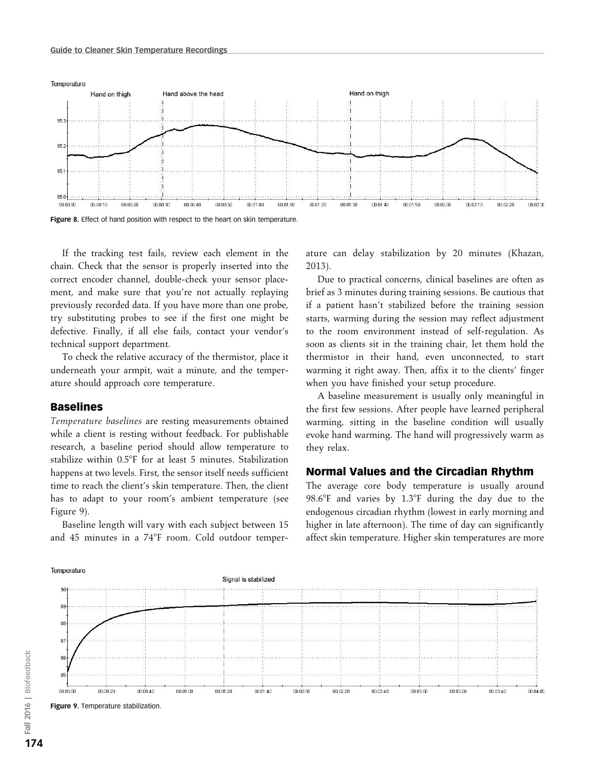

If the tracking test fails, review each element in the chain. Check that the sensor is properly inserted into the correct encoder channel, double-check your sensor placement, and make sure that you're not actually replaying previously recorded data. If you have more than one probe, try substituting probes to see if the first one might be defective. Finally, if all else fails, contact your vendor's technical support department.

To check the relative accuracy of the thermistor, place it underneath your armpit, wait a minute, and the temperature should approach core temperature.

#### Baselines

Temperature baselines are resting measurements obtained while a client is resting without feedback. For publishable research, a baseline period should allow temperature to stabilize within 0.5°F for at least 5 minutes. Stabilization happens at two levels. First, the sensor itself needs sufficient time to reach the client's skin temperature. Then, the client has to adapt to your room's ambient temperature (see Figure 9).

Baseline length will vary with each subject between 15 and 45 minutes in a 74°F room. Cold outdoor temperature can delay stabilization by 20 minutes (Khazan, 2013).

Due to practical concerns, clinical baselines are often as brief as 3 minutes during training sessions. Be cautious that if a patient hasn't stabilized before the training session starts, warming during the session may reflect adjustment to the room environment instead of self-regulation. As soon as clients sit in the training chair, let them hold the thermistor in their hand, even unconnected, to start warming it right away. Then, affix it to the clients' finger when you have finished your setup procedure.

A baseline measurement is usually only meaningful in the first few sessions. After people have learned peripheral warming, sitting in the baseline condition will usually evoke hand warming. The hand will progressively warm as they relax.

## Normal Values and the Circadian Rhythm

The average core body temperature is usually around 98.6 $\degree$ F and varies by 1.3 $\degree$ F during the day due to the endogenous circadian rhythm (lowest in early morning and higher in late afternoon). The time of day can significantly affect skin temperature. Higher skin temperatures are more



Figure 9. Temperature stabilization.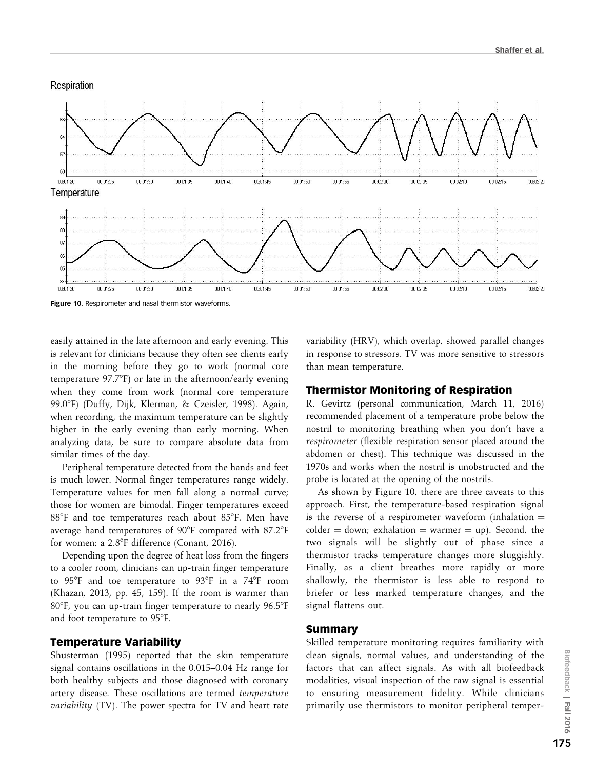

easily attained in the late afternoon and early evening. This is relevant for clinicians because they often see clients early in the morning before they go to work (normal core temperature 97.7°F) or late in the afternoon/early evening when they come from work (normal core temperature 99.08F) (Duffy, Dijk, Klerman, & Czeisler, 1998). Again, when recording, the maximum temperature can be slightly higher in the early evening than early morning. When analyzing data, be sure to compare absolute data from similar times of the day.

Peripheral temperature detected from the hands and feet is much lower. Normal finger temperatures range widely. Temperature values for men fall along a normal curve; those for women are bimodal. Finger temperatures exceed 88°F and toe temperatures reach about 85°F. Men have average hand temperatures of 90°F compared with 87.2°F for women; a 2.8°F difference (Conant, 2016).

Depending upon the degree of heat loss from the fingers to a cooler room, clinicians can up-train finger temperature to  $95^{\circ}$ F and toe temperature to  $93^{\circ}$ F in a  $74^{\circ}$ F room (Khazan, 2013, pp. 45, 159). If the room is warmer than  $80^{\circ}$ F, you can up-train finger temperature to nearly  $96.5^{\circ}$ F and foot temperature to 95°F.

#### Temperature Variability

Shusterman (1995) reported that the skin temperature signal contains oscillations in the 0.015–0.04 Hz range for both healthy subjects and those diagnosed with coronary artery disease. These oscillations are termed temperature variability (TV). The power spectra for TV and heart rate variability (HRV), which overlap, showed parallel changes in response to stressors. TV was more sensitive to stressors than mean temperature.

#### Thermistor Monitoring of Respiration

R. Gevirtz (personal communication, March 11, 2016) recommended placement of a temperature probe below the nostril to monitoring breathing when you don't have a respirometer (flexible respiration sensor placed around the abdomen or chest). This technique was discussed in the 1970s and works when the nostril is unobstructed and the probe is located at the opening of the nostrils.

As shown by Figure 10, there are three caveats to this approach. First, the temperature-based respiration signal is the reverse of a respirometer waveform (inhalation  $=$ colder  $=$  down; exhalation  $=$  warmer  $=$  up). Second, the two signals will be slightly out of phase since a thermistor tracks temperature changes more sluggishly. Finally, as a client breathes more rapidly or more shallowly, the thermistor is less able to respond to briefer or less marked temperature changes, and the signal flattens out.

#### Summary

Skilled temperature monitoring requires familiarity with clean signals, normal values, and understanding of the factors that can affect signals. As with all biofeedback modalities, visual inspection of the raw signal is essential to ensuring measurement fidelity. While clinicians primarily use thermistors to monitor peripheral temper